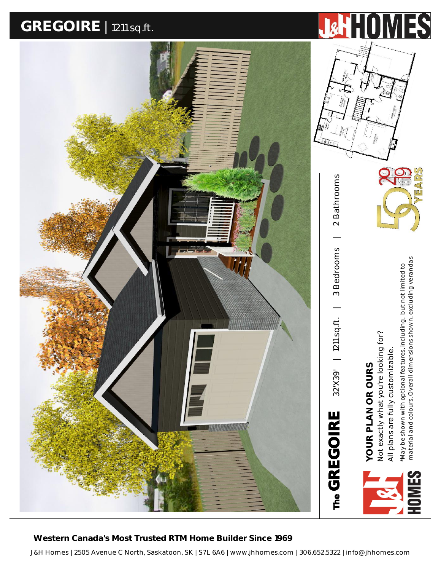## **GREGOIRE** <sup>|</sup> 1211 sq.ft.





 **Western Canada's Most Trusted RTM Home Builder Since 1969**